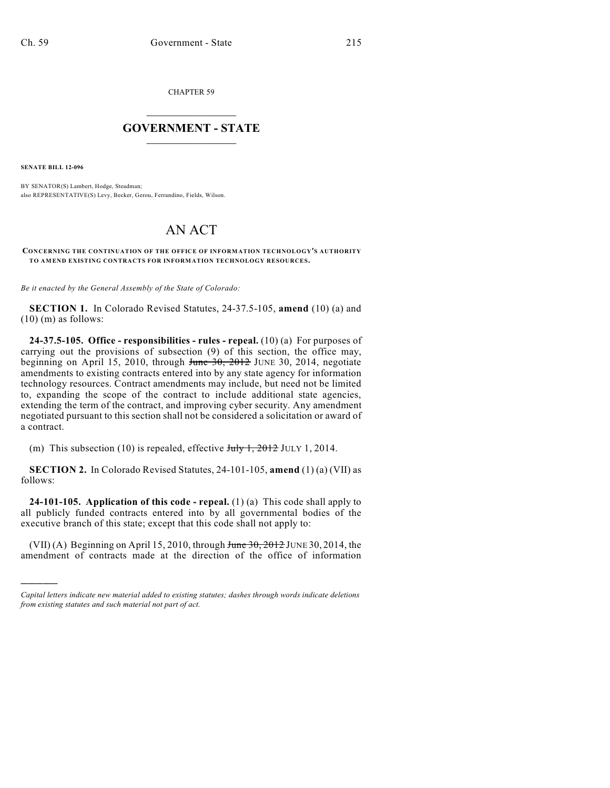CHAPTER 59

## $\overline{\phantom{a}}$  . The set of the set of the set of the set of the set of the set of the set of the set of the set of the set of the set of the set of the set of the set of the set of the set of the set of the set of the set o **GOVERNMENT - STATE**  $\_$

**SENATE BILL 12-096**

)))))

BY SENATOR(S) Lambert, Hodge, Steadman; also REPRESENTATIVE(S) Levy, Becker, Gerou, Ferrandino, Fields, Wilson.

## AN ACT

**CONCERNING THE CONTINUATION OF THE OFFICE OF INFORMATION TECHNOLOGY'S AUTHORITY TO AMEND EXISTING CONTRACTS FOR INFORMATION TECHNOLOGY RESOURCES.**

*Be it enacted by the General Assembly of the State of Colorado:*

**SECTION 1.** In Colorado Revised Statutes, 24-37.5-105, **amend** (10) (a) and  $(10)$  (m) as follows:

**24-37.5-105. Office - responsibilities - rules - repeal.** (10) (a) For purposes of carrying out the provisions of subsection (9) of this section, the office may, beginning on April 15, 2010, through  $f$ une  $30, 2012$  JUNE 30, 2014, negotiate amendments to existing contracts entered into by any state agency for information technology resources. Contract amendments may include, but need not be limited to, expanding the scope of the contract to include additional state agencies, extending the term of the contract, and improving cyber security. Any amendment negotiated pursuant to this section shall not be considered a solicitation or award of a contract.

(m) This subsection (10) is repealed, effective  $J_{\text{uly}}$  1, 2012 JULY 1, 2014.

**SECTION 2.** In Colorado Revised Statutes, 24-101-105, **amend** (1) (a) (VII) as follows:

**24-101-105. Application of this code - repeal.** (1) (a) This code shall apply to all publicly funded contracts entered into by all governmental bodies of the executive branch of this state; except that this code shall not apply to:

(VII) (A) Beginning on April 15, 2010, through  $J$ une 30, 2012 JUNE 30, 2014, the amendment of contracts made at the direction of the office of information

*Capital letters indicate new material added to existing statutes; dashes through words indicate deletions from existing statutes and such material not part of act.*